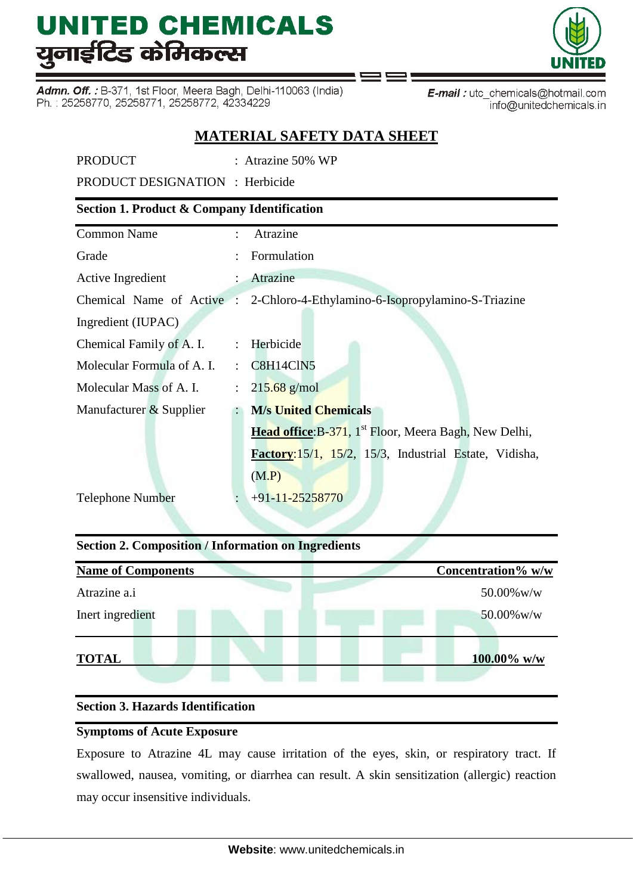Admn. Off.: B-371, 1st Floor, Meera Bagh, Delhi-110063 (India) Ph.: 25258770, 25258771, 25258772, 42334229



E-mail: utc\_chemicals@hotmail.com info@unitedchemicals.in

## **MATERIAL SAFETY DATA SHEET**

PRODUCT : Atrazine 50% WP

PRODUCT DESIGNATION : Herbicide

### **Section 1. Product & Company Identification**

| <b>Common Name</b>         | ÷                         | Atrazine                                                                    |
|----------------------------|---------------------------|-----------------------------------------------------------------------------|
| Grade                      |                           | Formulation                                                                 |
| Active Ingredient          | $\mathbb{R}$              | Atrazine                                                                    |
|                            |                           | Chemical Name of Active : 2-Chloro-4-Ethylamino-6-Isopropylamino-S-Triazine |
| Ingredient (IUPAC)         |                           |                                                                             |
| Chemical Family of A. I.   |                           | : Herbicide                                                                 |
| Molecular Formula of A. I. |                           | : C8H14ClN5                                                                 |
| Molecular Mass of A. I.    | $\mathbb{R}^{\mathbb{Z}}$ | $215.68$ g/mol                                                              |
| Manufacturer & Supplier    |                           | <b>M/s United Chemicals</b>                                                 |
|                            |                           | Head office: B-371, 1 <sup>st</sup> Floor, Meera Bagh, New Delhi,           |
|                            |                           | Factory:15/1, 15/2, 15/3, Industrial Estate, Vidisha,                       |
|                            |                           | (M.P)                                                                       |
| <b>Telephone Number</b>    |                           | $+91-11-25258770$                                                           |
|                            |                           |                                                                             |

## **Section 2. Composition / Information on Ingredients**

| <b>Name of Components</b> |  | Concentration% w/w |
|---------------------------|--|--------------------|
| Atrazine a.i              |  | $50.00\%$ w/w      |
| Inert ingredient          |  | $50.00\%$ w/w      |
| <b>TOTAL</b>              |  | $100.00\%$ w/w     |

### **Section 3. Hazards Identification**

### **Symptoms of Acute Exposure**

Exposure to Atrazine 4L may cause irritation of the eyes, skin, or respiratory tract. If swallowed, nausea, vomiting, or diarrhea can result. A skin sensitization (allergic) reaction may occur insensitive individuals.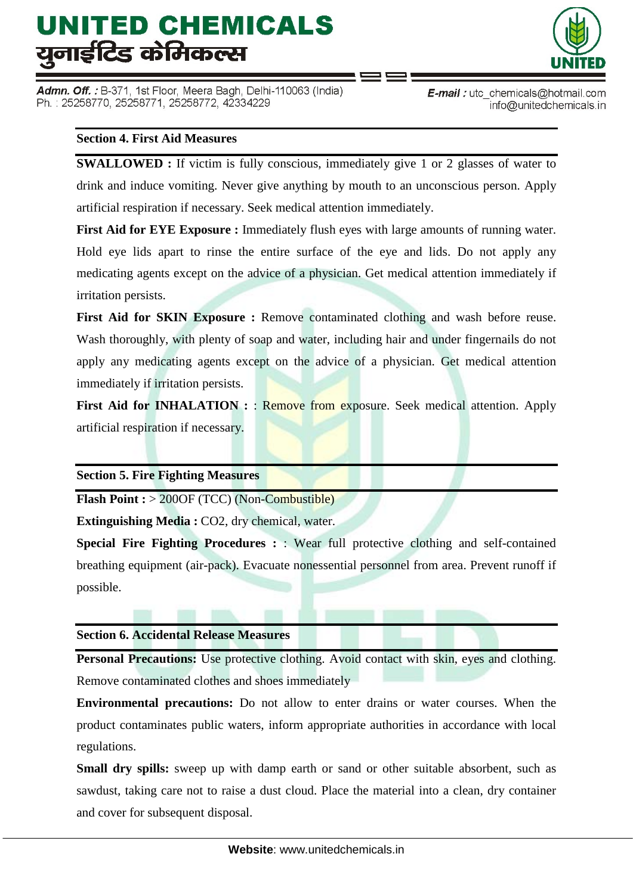Admn. Off. : B-371, 1st Floor, Meera Bagh, Delhi-110063 (India) Ph.: 25258770, 25258771, 25258772, 42334229



#### **Section 4. First Aid Measures**

**SWALLOWED :** If victim is fully conscious, immediately give 1 or 2 glasses of water to drink and induce vomiting. Never give anything by mouth to an unconscious person. Apply artificial respiration if necessary. Seek medical attention immediately.

**First Aid for EYE Exposure :** Immediately flush eyes with large amounts of running water. Hold eye lids apart to rinse the entire surface of the eye and lids. Do not apply any medicating agents except on the advice of a physician. Get medical attention immediately if irritation persists.

First Aid for SKIN Exposure : Remove contaminated clothing and wash before reuse. Wash thoroughly, with plenty of soap and water, including hair and under fingernails do not apply any medicating agents except on the advice of a physician. Get medical attention immediately if irritation persists.

**First Aid for INHALATION :: Remove from exposure. Seek medical attention. Apply** artificial respiration if necessary.

### **Section 5. Fire Fighting Measures**

**Flash Point :** > 200OF (TCC) (Non-Combustible)

**Extinguishing Media :** CO2, dry chemical, water.

**Special Fire Fighting Procedures :**  $\cdot$  Wear full protective clothing and self-contained breathing equipment (air-pack). Evacuate nonessential personnel from area. Prevent runoff if possible.

#### **Section 6. Accidental Release Measures**

**Personal Precautions:** Use protective clothing. Avoid contact with skin, eyes and clothing. Remove contaminated clothes and shoes immediately

**Environmental precautions:** Do not allow to enter drains or water courses. When the product contaminates public waters, inform appropriate authorities in accordance with local regulations.

**Small dry spills:** sweep up with damp earth or sand or other suitable absorbent, such as sawdust, taking care not to raise a dust cloud. Place the material into a clean, dry container and cover for subsequent disposal.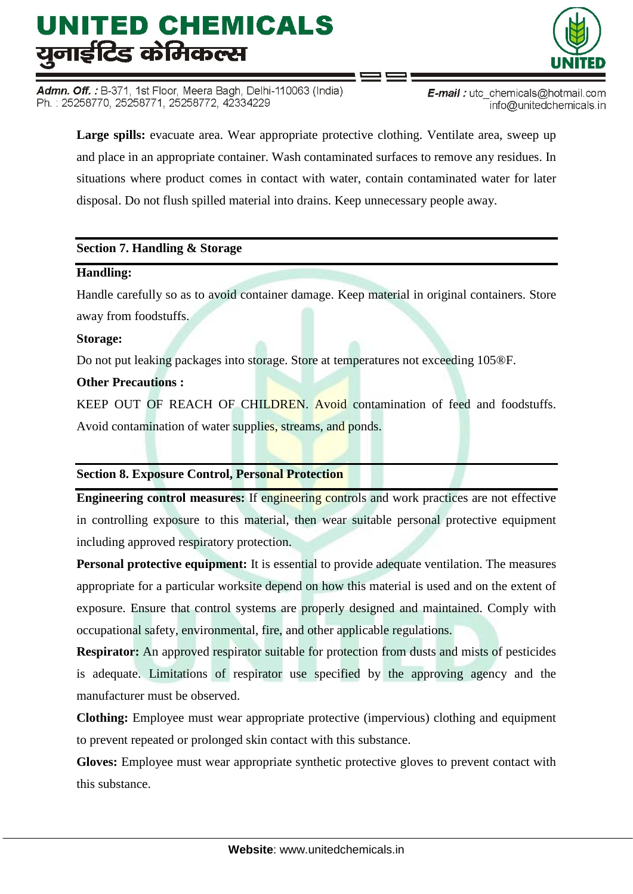Admn. Off. : B-371, 1st Floor, Meera Bagh, Delhi-110063 (India) Ph.: 25258770, 25258771, 25258772, 42334229



**E-mail**: utc chemicals@hotmail.com info@unitedchemicals.in

Large spills: evacuate area. Wear appropriate protective clothing. Ventilate area, sweep up and place in an appropriate container. Wash contaminated surfaces to remove any residues. In situations where product comes in contact with water, contain contaminated water for later disposal. Do not flush spilled material into drains. Keep unnecessary people away.

### **Section 7. Handling & Storage**

#### **Handling:**

Handle carefully so as to avoid container damage. Keep material in original containers. Store away from foodstuffs.

#### **Storage:**

Do not put leaking packages into storage. Store at temperatures not exceeding 105®F.

### **Other Precautions :**

KEEP OUT OF REACH OF CHILDREN. Avoid contamination of feed and foodstuffs. Avoid contamination of water supplies, streams, and ponds.

### **Section 8. Exposure Control, Personal Protection**

**Engineering control measures:** If engineering controls and work practices are not effective in controlling exposure to this material, then wear suitable personal protective equipment including approved respiratory protection.

**Personal protective equipment:** It is essential to provide adequate ventilation. The measures appropriate for a particular worksite depend on how this material is used and on the extent of exposure. Ensure that control systems are properly designed and maintained. Comply with occupational safety, environmental, fire, and other applicable regulations.

**Respirator:** An approved respirator suitable for protection from dusts and mists of pesticides is adequate. Limitations of respirator use specified by the approving agency and the manufacturer must be observed.

**Clothing:** Employee must wear appropriate protective (impervious) clothing and equipment to prevent repeated or prolonged skin contact with this substance.

**Gloves:** Employee must wear appropriate synthetic protective gloves to prevent contact with this substance.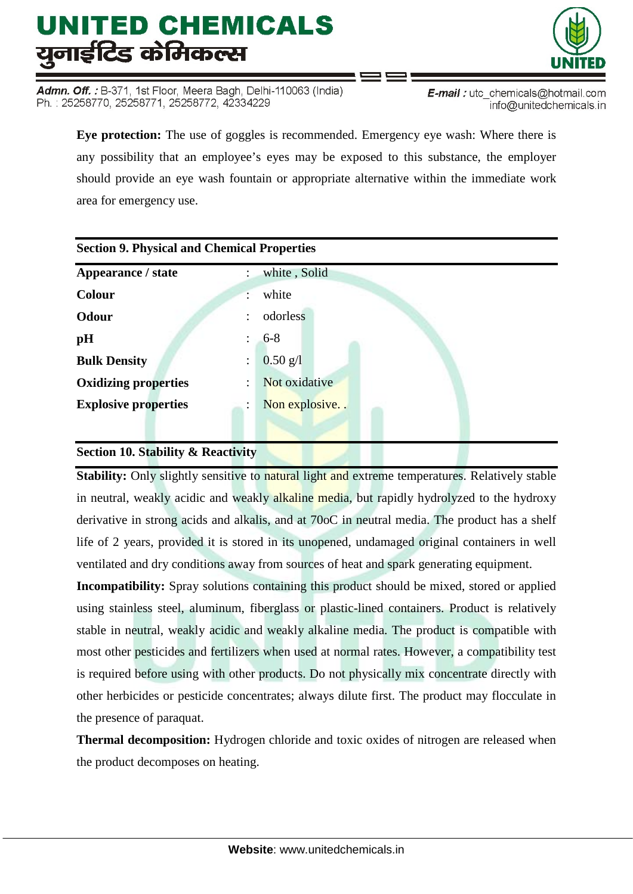Admn. Off. : B-371, 1st Floor, Meera Bagh, Delhi-110063 (India) Ph.: 25258770, 25258771, 25258772, 42334229



**Eye protection:** The use of goggles is recommended. Emergency eye wash: Where there is any possibility that an employee's eyes may be exposed to this substance, the employer should provide an eye wash fountain or appropriate alternative within the immediate work area for emergency use.

| <b>Section 9. Physical and Chemical Properties</b> |                 |  |  |  |
|----------------------------------------------------|-----------------|--|--|--|
| Appearance / state                                 | white, Solid    |  |  |  |
| <b>Colour</b>                                      | white           |  |  |  |
| Odour                                              | odorless        |  |  |  |
| pH                                                 | $6 - 8$         |  |  |  |
| <b>Bulk Density</b>                                | $0.50$ g/l<br>÷ |  |  |  |
| <b>Oxidizing properties</b>                        | Not oxidative   |  |  |  |
| <b>Explosive properties</b>                        | Non explosive   |  |  |  |
|                                                    |                 |  |  |  |

## **Section 10. Stability & Reactivity**

Stability: Only slightly sensitive to natural light and extreme temperatures. Relatively stable in neutral, weakly acidic and weakly alkaline media, but rapidly hydrolyzed to the hydroxy derivative in strong acids and alkalis, and at 70oC in neutral media. The product has a shelf life of 2 years, provided it is stored in its unopened, undamaged original containers in well ventilated and dry conditions away from sources of heat and spark generating equipment.

**Incompatibility:** Spray solutions containing this product should be mixed, stored or applied using stainless steel, aluminum, fiberglass or plastic-lined containers. Product is relatively stable in neutral, weakly acidic and weakly alkaline media. The product is compatible with most other pesticides and fertilizers when used at normal rates. However, a compatibility test is required before using with other products. Do not physically mix concentrate directly with other herbicides or pesticide concentrates; always dilute first. The product may flocculate in the presence of paraquat.

**Thermal decomposition:** Hydrogen chloride and toxic oxides of nitrogen are released when the product decomposes on heating.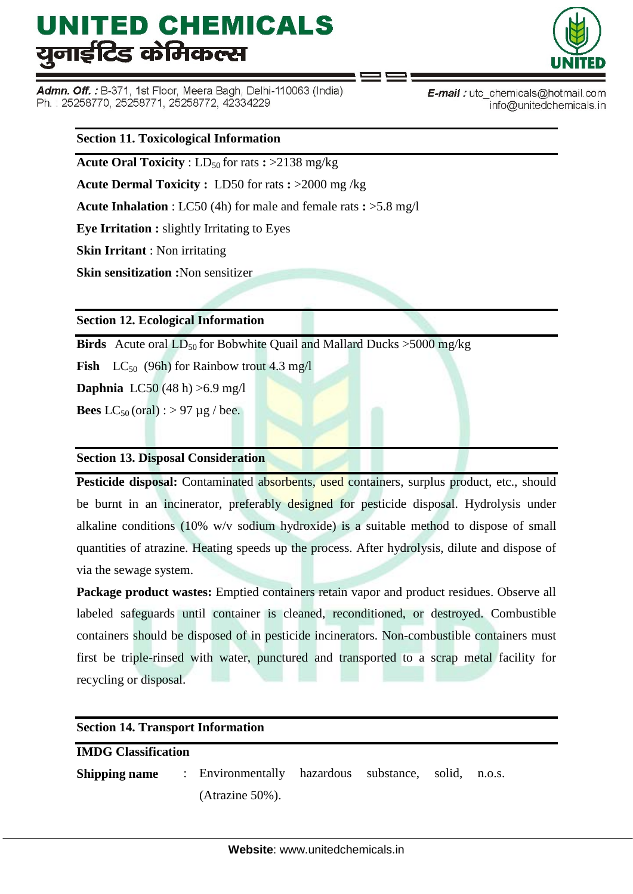Admn. Off. : B-371, 1st Floor, Meera Bagh, Delhi-110063 (India) Ph.: 25258770, 25258771, 25258772, 42334229



E-mail: utc\_chemicals@hotmail.com info@unitedchemicals.in

#### **Section 11. Toxicological Information**

**Acute Oral Toxicity** :  $LD_{50}$  for rats  $\div$  >2138 mg/kg

**Acute Dermal Toxicity :** LD50 for rats **:** >2000 mg /kg

**Acute Inhalation** : LC50 (4h) for male and female rats **:** >5.8 mg/l

**Eye Irritation :** slightly Irritating to Eyes

**Skin Irritant** : Non irritating

**Skin sensitization :**Non sensitizer

### **Section 12. Ecological Information**

**Birds** Acute oral  $LD_{50}$  for Bobwhite Quail and Mallard Ducks  $>5000$  mg/kg

**Fish**  $LC_{50}$  (96h) for Rainbow trout 4.3 mg/l

**Daphnia** LC50 (48 h) >6.9 mg/l

**Bees**  $LC_{50}$  (oral) : > 97 µg / bee.

### **Section 13. Disposal Consideration**

**Pesticide disposal:** Contaminated absorbents, used containers, surplus product, etc., should be burnt in an incinerator, preferably designed for pesticide disposal. Hydrolysis under alkaline conditions (10% w/v sodium hydroxide) is a suitable method to dispose of small quantities of atrazine. Heating speeds up the process. After hydrolysis, dilute and dispose of via the sewage system.

**Package product wastes:** Emptied containers retain vapor and product residues. Observe all labeled safeguards until container is cleaned, reconditioned, or destroyed. Combustible containers should be disposed of in pesticide incinerators. Non-combustible containers must first be triple-rinsed with water, punctured and transported to a scrap metal facility for recycling or disposal.

| <b>Section 14. Transport Information</b> |  |                                                                    |  |  |        |  |
|------------------------------------------|--|--------------------------------------------------------------------|--|--|--------|--|
| <b>IMDG Classification</b>               |  |                                                                    |  |  |        |  |
|                                          |  | <b>Shipping name</b> : Environmentally hazardous substance, solid, |  |  | n.o.s. |  |
|                                          |  | $(A\text{trazine } 50\%)$ .                                        |  |  |        |  |